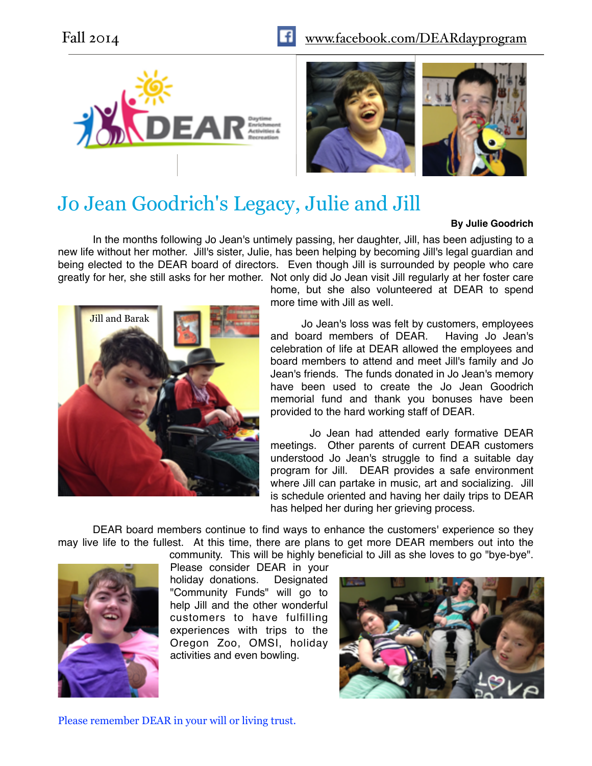





# Jo Jean Goodrich's Legacy, Julie and Jill

#### **By Julie Goodrich**

In the months following Jo Jean's untimely passing, her daughter, Jill, has been adjusting to a new life without her mother. Jill's sister, Julie, has been helping by becoming Jill's legal guardian and being elected to the DEAR board of directors. Even though Jill is surrounded by people who care greatly for her, she still asks for her mother. Not only did Jo Jean visit Jill regularly at her foster care



home, but she also volunteered at DEAR to spend more time with Jill as well.

Jo Jean's loss was felt by customers, employees and board members of DEAR. Having Jo Jean's celebration of life at DEAR allowed the employees and board members to attend and meet Jill's family and Jo Jean's friends. The funds donated in Jo Jean's memory have been used to create the Jo Jean Goodrich memorial fund and thank you bonuses have been provided to the hard working staff of DEAR.

Jo Jean had attended early formative DEAR meetings. Other parents of current DEAR customers understood Jo Jean's struggle to find a suitable day program for Jill. DEAR provides a safe environment where Jill can partake in music, art and socializing. Jill is schedule oriented and having her daily trips to DEAR has helped her during her grieving process.

DEAR board members continue to find ways to enhance the customers' experience so they may live life to the fullest. At this time, there are plans to get more DEAR members out into the community. This will be highly beneficial to Jill as she loves to go "bye-bye".



Please consider DEAR in your holiday donations. Designated

"Community Funds" will go to help Jill and the other wonderful customers to have fulfilling experiences with trips to the Oregon Zoo, OMSI, holiday activities and even bowling.



Please remember DEAR in your will or living trust.